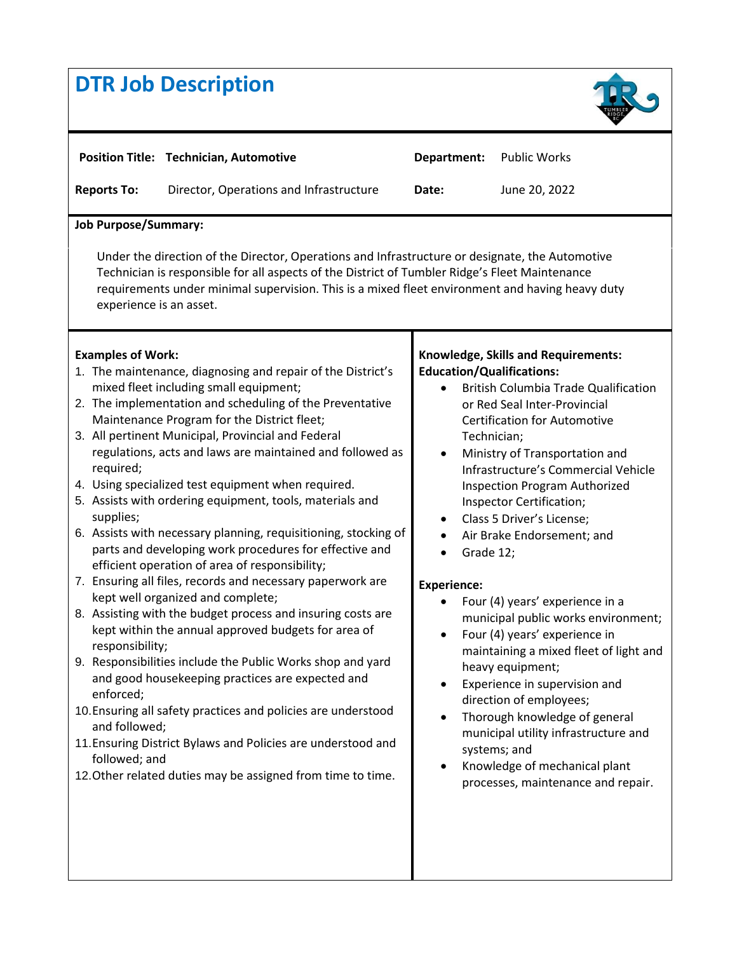## **DTR Job Description**



| <b>Reports To:</b><br>Director, Operations and Infrastructure<br>June 20, 2022<br>Date:<br><b>Job Purpose/Summary:</b><br>Under the direction of the Director, Operations and Infrastructure or designate, the Automotive<br>Technician is responsible for all aspects of the District of Tumbler Ridge's Fleet Maintenance<br>requirements under minimal supervision. This is a mixed fleet environment and having heavy duty<br>experience is an asset.<br><b>Examples of Work:</b><br><b>Knowledge, Skills and Requirements:</b><br><b>Education/Qualifications:</b><br>1. The maintenance, diagnosing and repair of the District's<br>mixed fleet including small equipment;<br><b>British Columbia Trade Qualification</b><br>2. The implementation and scheduling of the Preventative<br>or Red Seal Inter-Provincial<br>Maintenance Program for the District fleet;<br><b>Certification for Automotive</b><br>3. All pertinent Municipal, Provincial and Federal<br>Technician;<br>regulations, acts and laws are maintained and followed as<br>Ministry of Transportation and<br>$\bullet$<br>required;<br>Infrastructure's Commercial Vehicle<br>4. Using specialized test equipment when required.<br>Inspection Program Authorized<br>5. Assists with ordering equipment, tools, materials and<br>Inspector Certification;<br>supplies;<br>Class 5 Driver's License;<br>$\bullet$<br>6. Assists with necessary planning, requisitioning, stocking of<br>Air Brake Endorsement; and<br>parts and developing work procedures for effective and<br>Grade 12;<br>efficient operation of area of responsibility;<br>7. Ensuring all files, records and necessary paperwork are<br><b>Experience:</b><br>kept well organized and complete;<br>Four (4) years' experience in a<br>8. Assisting with the budget process and insuring costs are<br>municipal public works environment;<br>kept within the annual approved budgets for area of<br>Four (4) years' experience in<br>$\bullet$<br>responsibility;<br>maintaining a mixed fleet of light and<br>9. Responsibilities include the Public Works shop and yard<br>heavy equipment;<br>and good housekeeping practices are expected and<br>Experience in supervision and<br>enforced;<br>direction of employees;<br>10. Ensuring all safety practices and policies are understood<br>Thorough knowledge of general<br>$\bullet$<br>and followed;<br>municipal utility infrastructure and<br>11. Ensuring District Bylaws and Policies are understood and<br>systems; and<br>followed; and<br>Knowledge of mechanical plant<br>12. Other related duties may be assigned from time to time.<br>processes, maintenance and repair. |  | <b>Position Title: Technician, Automotive</b> | Department: | <b>Public Works</b> |  |
|------------------------------------------------------------------------------------------------------------------------------------------------------------------------------------------------------------------------------------------------------------------------------------------------------------------------------------------------------------------------------------------------------------------------------------------------------------------------------------------------------------------------------------------------------------------------------------------------------------------------------------------------------------------------------------------------------------------------------------------------------------------------------------------------------------------------------------------------------------------------------------------------------------------------------------------------------------------------------------------------------------------------------------------------------------------------------------------------------------------------------------------------------------------------------------------------------------------------------------------------------------------------------------------------------------------------------------------------------------------------------------------------------------------------------------------------------------------------------------------------------------------------------------------------------------------------------------------------------------------------------------------------------------------------------------------------------------------------------------------------------------------------------------------------------------------------------------------------------------------------------------------------------------------------------------------------------------------------------------------------------------------------------------------------------------------------------------------------------------------------------------------------------------------------------------------------------------------------------------------------------------------------------------------------------------------------------------------------------------------------------------------------------------------------------------------------------------------------------------------------------------------------------------------------------------------------------------------------------------------------------------------------------------------------------------------|--|-----------------------------------------------|-------------|---------------------|--|
|                                                                                                                                                                                                                                                                                                                                                                                                                                                                                                                                                                                                                                                                                                                                                                                                                                                                                                                                                                                                                                                                                                                                                                                                                                                                                                                                                                                                                                                                                                                                                                                                                                                                                                                                                                                                                                                                                                                                                                                                                                                                                                                                                                                                                                                                                                                                                                                                                                                                                                                                                                                                                                                                                          |  |                                               |             |                     |  |
|                                                                                                                                                                                                                                                                                                                                                                                                                                                                                                                                                                                                                                                                                                                                                                                                                                                                                                                                                                                                                                                                                                                                                                                                                                                                                                                                                                                                                                                                                                                                                                                                                                                                                                                                                                                                                                                                                                                                                                                                                                                                                                                                                                                                                                                                                                                                                                                                                                                                                                                                                                                                                                                                                          |  |                                               |             |                     |  |
|                                                                                                                                                                                                                                                                                                                                                                                                                                                                                                                                                                                                                                                                                                                                                                                                                                                                                                                                                                                                                                                                                                                                                                                                                                                                                                                                                                                                                                                                                                                                                                                                                                                                                                                                                                                                                                                                                                                                                                                                                                                                                                                                                                                                                                                                                                                                                                                                                                                                                                                                                                                                                                                                                          |  |                                               |             |                     |  |